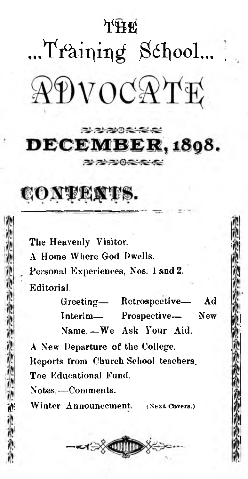### *yt m*

# ...Training School... ADVOCATE

#### **PLANAME COMPANY** DECEMBER, 1898. 2 2 2 0 3 3 4 3

### CONTENTS.

**The Heavenly Visitor.**

**A Home Where God Dwells.**

**Personal Experiences, Nos. 1 and 2.**

**Editorial.**

**Greeting— Retrospective—- Ad Interim— Prospective— New**

Name. - We Ask Your Aid.

**A New Departure of the College, Reports from Church School teachers. Tne Educational Fund.**

**Notes.. -Comments,**

Winter Announcement. (Next Covers.)

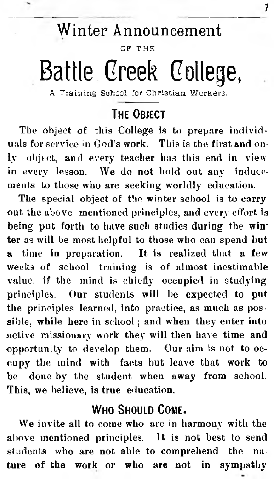### Winter Announcement

7

OF THE

### **Battle Greek College,**

A Training School for Christian Workers.

#### **THE ORIFCT**

**.The object of this College is to prepare individuals for service in God's work. This is the first and only object, and every teacher has this end in view in every lesson. We do not hold out any inducements to those who are seeking worldly education.**

**The special object of the winter school is to carry out the above mentioned principles, and every effort is being put forth to have such studies during the winter as will be most helpful to those who can spend but a time in preparation. It is realized that a few weeks of school training is of almost inestimable value, if the mind is chiefly occupied in studying principles. Our students will be expected to put the principles learned, into practice, as much as possible, while here in school; and when they enter into active missionary work they will then have time and opportunity to develop them. Our aim is not to occupy the mind with facts but leave that work to be done by the student when away from school. This, we believe, is true education.**

#### WHO SHOULD COME.

**We invite all to come who are in harmony with the above mentioned principles. It is not best to send students who are not able to comprehend the nature of the work or who are not in sympathy**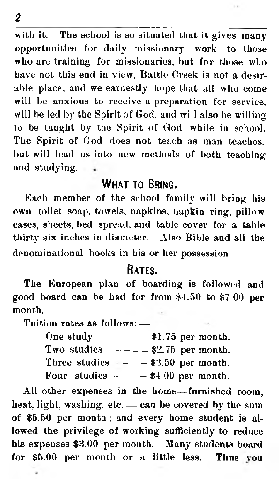**with it. The school is so situated that it gives many opportunities for daily missionary work to those who are training for missionaries, but for those who have not this end in view. Battle Creek is not a desirable place; and we earnestly hope that all who come will be anxious to receive a preparation for service, will be led by the Spirit of God, and will also be willing to be taught by the Spirit of God while in school. The Spirit of God does not teach as man teaches,** but will lead us into new methods of both teaching **and studying.**

#### WHAT TO BRING.

**Each member of the school family will bring his own toilet soap, towels, napkins, napkin ring, pillow cases, sheets, bed spread, and table cover for a table thirty six inches in diameter. Also Bible aud all the denominational books in his or her possession.**

#### **Rates.**

**The European plan of boarding is followed and** good board can be had for from \$4.50 to \$7.00 per **month.**

**Tuition rates as follows: —**

|  |  |  |  |  |  |  |  |  |  |  |  | One study $--- - 31.75$ per month. |
|--|--|--|--|--|--|--|--|--|--|--|--|------------------------------------|
|--|--|--|--|--|--|--|--|--|--|--|--|------------------------------------|

|  | Two studies |  |  |  |  |  |  | $$2.75$ per month. |
|--|-------------|--|--|--|--|--|--|--------------------|
|--|-------------|--|--|--|--|--|--|--------------------|

Three studies  $---$  \$3.50 per month.

Four studies  $---$  \$4.00 per month.

**All other expenses in the home— furnished room, heat, light, washing, etc. — can be covered by the sum of \$5.50 per month ; and every home student is allowed the privilege of working sufficiently to reduce** his expenses \$3.00 per month. Many students board for \$5.00 per month or a little less. Thus you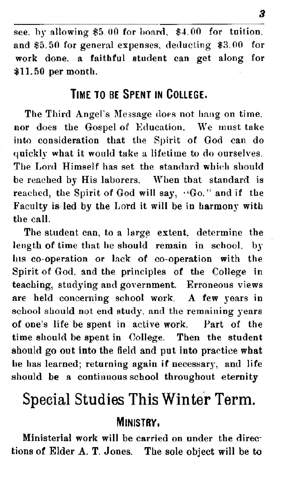**see, by allowing \$5.00 for board, \$4.00 for tuition, and \$5.50 for general expenses, deducting \$3.00 for work done, a faithful student can get along for \$11,50 per month.**

#### **Time to be S pent in College.**

**The Third Angel's Message does not hang on time, nor does the Gospel of Education. We must take into consideration that the Spirit of God can do quickly what it would take a lifetime to do ourselves. The Lord Himself has set the standard which should be reached by His laborers. When that standard is** reached, the Spirit of God will say, 'Go." and if the **Faculty is led by the Lord it will be in harmony with the call.**

**The student can, to a large extent, determine the length of time that he should remain in school, by his co-operation or lack of co-operation with the Spirit of God, and the principles of the College in teaching, studying and government. Erroneous views are held concerning school work. A few years in** school should not end study, and the remaining years **of one's life be spent in active work. Part of the time should be spent in College. Then the student should go out into the field and put into practice what** he has learned; returning again if necessary, and life **should be a continuous school throughout eternity**

### Special Studies This Winter Term.

#### **Ministry.**

Ministerial work will be carried on under the directions of Elder A. T. Jones. The sole object will be to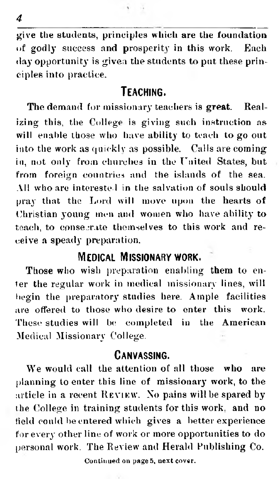**give the students, principles which are the foundation of godly success and prosperity in this work. Each day opportunity is given the students to put these principles into practice.**

#### **Teaching.**

**The demand for missionary teachers is great. Realizing this, the College is giving such instruction as will enable those who have ability to teach to go out into the work as quickly as possible. Calls are coming in, not only from churches in the United States, but from foreign countries and the islands of the sea. All who are interested in the salvation of souls should pray that the Lord will move upon the hearts of Christian young men and women who have ability to** teach, to consegrate themselves to this work and re**ceive a speady preparation.**

#### **Medical Missionary work.**

**Those who wish preparation enabling them to enter the regular work in medical missionary lines, will begin the preparatory studies here. Ample facilities are offered to those who desire to enter this work. These studies will be completed in the American Medical Missionary College.**

#### **Canvassing.**

**We would call the attention of all those who are planning to enter this line of missionary work, to the** article in a recent REVIEW. No pains will be spared by **t he College in training students for this work, and no field could be entered which gives a better experience for every other line of work or more opportunities to do personal work. The Review and Herald Publishing Co.**

Continued on page 5, next cover.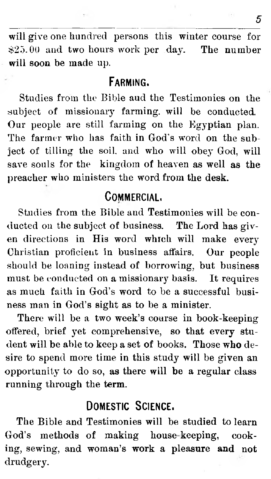will give one hundred persons this winter course for  $$25.00$  and two hours work per day. The number will soon be made up.

#### **Farming.**

Studies from the Bible aud the Testimonies on the subject of missionary farming, will be conducted. Our people are still farming on the Egyptian plan. The farmer who has faith in God's word on the subject of tilling the soil, and who will obey God, will save souls for the kingdom of heaven as well as the preacher who ministers the word from the desk.

#### **Commercial.**

Studies from the Bible and Testimonies will be conducted on the subject of business. The Lord has given directions in His word which will make every Christian proficient in business affairs. Our people should be loaning instead of borrowing, but business must be conducted on a missionary basis. It requires as much faith in God's word to be a successful business man in God's sight as to be a minister.

There will be a two week's course in book-keeping offered, brief yet com prehensive, so that every student will be able to keep a set of books. Those who desire to spend more time in this study will be given an opportunity to do so, as there will be a regular class running through the term.

#### **Domestic S cience.**

The Bible and Testimonies will be studied to learn God's methods of making house-keeping, cooking, sewing, and woman's work a pleasure and not drudgery.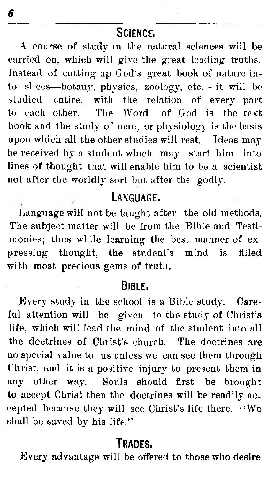#### **S cience.**

A course of study in the natural sciences will be carried on. which will give the great leading truths. Instead of cutting up God's great book of nature into slices—botany, physics, zoology, etc.—it will be studied entire, with the relation of every part to each other. The Word of God is the text book and the study of man, or physiology is the basis upon which all the other studies will rest. Ideas may be received bv a student which may start him into lines of thought that will enable him to be a scientist not after the worldly sort but after the godly.

#### **Language.**

Language will not be taught after the old methods. The subject matter will be from the Bible and Testimonies; thus while learning the best manner of expressing thought, the student's mind is filled with most precious gems of truth.

#### **Bible.**

Every study in the school is a Bible study. Careful attention will be given to the study of Christ's life, which will lead the mind of the student into all the doctrines of Christ's church. The doctrines are no special value to us unless we can see them through Christ, and it is a positive injury to present them in any other way. Souls should first be brought to accept Christ then the doctrines will be readily accepted because they will see Christ's life there.  $\cdot \cdot$ We shall be saved by his life."

#### **T rades.**

Every advantage will be offered to those who desire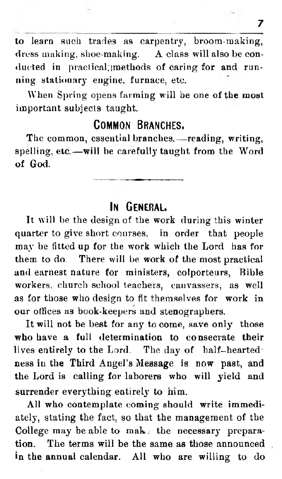**to learn such trades as carpentry, broom-making, dress making, shoe-making. A class will also be conducted in practical;]methods of caring for and running stationary engine, furnace, etc.**

**When Spring opens farming will be one of the most important subjects taught.**

#### **Common Branches.**

**The common, essential branches,— reading, writing, spelling, etc.— will be carefully taught from the Word of God.**

#### **In General.**

**It will be the design of the work during this winter quarter to give short courses, in order that people may be fitted up for the work which the Lord has for them to do. There will be work of the most practical and earnest nature for ministers, colporteurs, Bible workers, church school teachers, canvassers, as well as for those who design to fit themselves for work in our offices as book-keepers and stenographers.**

**It will not be best for any to come, save only those who have a full determination to consecrate their lives entirely to the Lord. The day of half-heartedness in the Third Angel's Message is now past, and the Lord is calling for laborers who will yield and surrender everything entirely to him.**

**All who contemplate coming should write immediately, stating the fact, so that the management of the** College may be able to mak: the necessary prepara**tion. The terms will be the same as those announced** in the annual calendar. All who are willing to do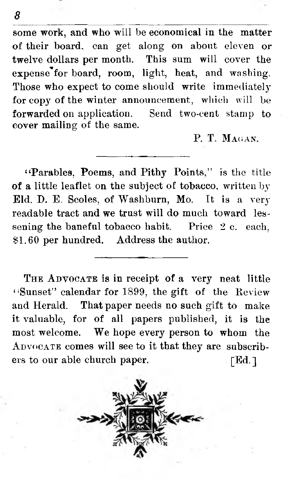some work, and who will be economical in the matter of their board, can get along on about eleven or twelve dollars per month. This sum will cover the expense for board, room, light, heat, and washing. Those who expect to come should write immediately for copy of the winter announcement, which will be forwarded on application. Send two-cent stamp to cover mailing of the same.

P. T. MAGAN

"Parables, Poems, and Pithy Points," is the title of a little leaflet on the subject of tobacco, written by Eld. D. E. Scoles, of Washburn, Mo. It is a very readable tract and we trust will do much toward lessening the baneful tobacco habit. Price 2 c. each, \$1.60 per hundred. Address the author.

THE ADVOCATE is in receipt of a very neat little "Sunset" calendar for 1899, the gift of the Review and Herald. That paper needs no such gift to make it valuable, for of all papers published, it is the most welcome. We hope every person to whom the ADVOCATE comes will see to it that they are subscribers to our able church paper. TEd. 1

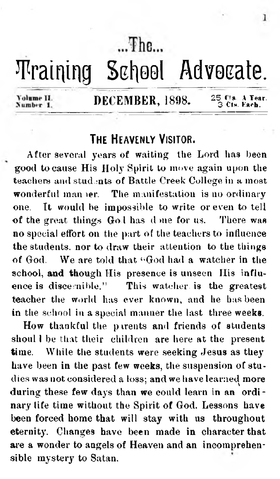$The$ 

### *T***raining School Advocate.**

Volume II. Number 1

#### DECEMBER,  $1898.$   $25$  Cls. A Year.

#### THE HEAVENLY VISITOR.

**After several years of waiting the Lord has been good to cause His Holy Spirit to move again upon the** teachers and students of Battle Creek College in a most **wonderful man ter. The manifestation is no ordinary one. It would be impossible to write or even to tell of the great things Go 1 has d me for us. There was no special effort on the part of the teachers to influence the students, nor to draw their attention to the things of God. We are told that " God had a watcher in the school, and though His presence is unseen His influence is discernible." This watcher, is the greatest teacher the world has ever known, and he has been in the school in a special manner the last three weeks.**

**How thankful the pirents and friends of students shoul I be that their children are here at the present time. While the students were seeking Jesus as they have been in the past few weeks, the suspension of studies was not considered a loss: and we have learned more** *1 \* **during these few days than we could learn in an ordinary life time without the Spirit of God. Lessons have been forced home that will stay with us throughout eternity. Changes have been made in character that are a wonder to angels of Heaven and an incomprehensible mystery to Satan.**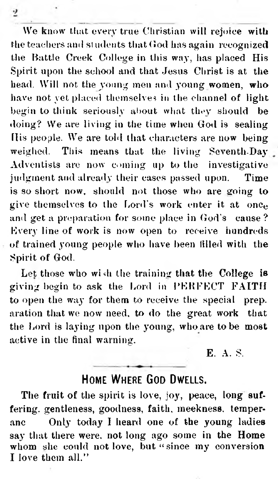**We know Unit every true Christian will rejoice with the teachers anil students that God lias again recognized the Battle Creek College in this way, has placed His Spirit upon the school and that Jesus Christ is at the head. Will not the young men and young women, who have not yet placed themselves in the channel of light** begin to think seriously about what they should be doing? We are living in the time when God is sealing **His people. We are told that characters are now being weighed. This means that the living Seventh-Day Adventists are now coming up to the investigative judgment and already their eases passed upon. Time** is so short now, should not those who are going to **give themselves to the Lord's work enter it at once and get a preparation for some place in God's cause? Every line of work is now open to receive hundreds of trained young people who have been filled with the Spirit of God.**

 $\overline{2}$ 

**Let those who wish the training that the College is** giving begin to ask the Lord in PERFECT FAITH **to open the way for them to receive the special preparation that we now need, to do the great work that the Lord is laying upon the young, who are to be most active in the final warning.**

E. **A. S.**

#### HOME WHERE GOD DWELLS.

**The fruit of the spirit is love, joy, peace, long suffering. gentleness, goodness, faith, meekness, temperanc Only today I heard one of the young ladies say that there were, not long ago some in the Home whom she could not love, but " since my conversion I love them all."**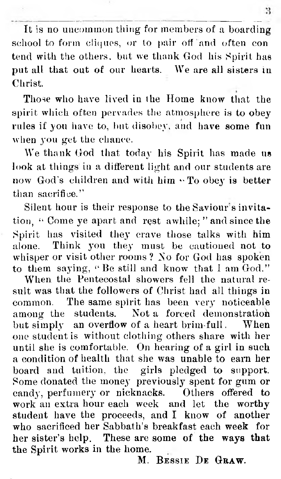It is no uncommon thing for members of a boarding school to form cliques, or to pair off and often con tend with the others, but we thank God his Spirit has put all that out of our hearts. We are all sisters in Christ.

Those who have lived in the Home know that the spirit which often pervades the atmosphere is to obey rules if you have to, but disobey, and have some fun when you get the chance.

We thank God that today his Spirit has made us look at things in a different light and our students are now God's children and with him  $\cdot$  To obey is better than sacrifice."

Silent hour is their response to the Saviour's invitation, " Come ye apart and rest awhile; " and since the Spirit has visited they crave those talks with him alone. Think you they must be cautioned not to whisper or visit other rooms?No for God has spoken to them saying, "Be still and know that I am God."

When the Pentecostal showers fell the natural result was that the followers of Christ had all things in common. The same spirit has been very noticeable among the students. Not a forced demonstration but simply an overflow of a heart brim-full. When one student is without clothing others share with her until she is comfortable. On hearing of a girl in such a condition of health that she was unable to earn her board and tuition, the girls pledged to support. Some donated the money previously spent for gum or candy, perfumery or nicknacks. Others offered to work an extra hour each week and let the worthy student have the proceeds, and I know of another who sacrificed her Sabbath's breakfast each week for her sister's help. These are some of the ways that the Spirit works in the home.

M. BESSIE DE GRAW.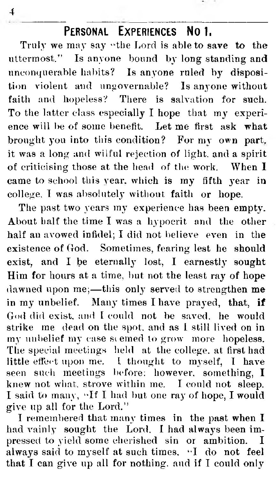#### **PFRSONAL** EXPERIENCES NO.1.

Truly we may say "the Lord is able to save to the utterm ost." Is anyone bound by long standing and unconquerable habits? Is anyone ruled by disposition violent and ungovernable? Is anyone without faith and hopeless? There is salvation for such. To the latter class especially I hope that my experience will be of some benefit. Let me first ask what brought you into this condition? For my own part, it was a long and wilful rejection of light, and a spirit of criticising those at the head of the work. When  $I$ came to school this year, which is my fifth year in college. I was absolutely without faith or hope.

The past two years my experience has been empty. About half the time I was a hypocrit and the other half an avowed infidel; I did not believe even in the existence of God. Sometimes, fearing lest he should exist, and I be eternally lost, I earnestly sought Him for hours at a time, but not the least ray of hope dawned upon me;- this only served to strengthen me in my unbelief. Many times I have prayed, that, if God did exist, and I could not be saved, he would strike me dead on the spot, and as I still lived on in my unbelief my case seemed to grow more hopeless. The special meetings held at the college, at first had little effect upon me. I thought to myself, I have seen such meetings before: however, something, I knew not what, strove within me. I could not sleep. I said to many, "If I had but one ray of hope, I would give up all for the Lord."

I remembered that many times in the past when I had vainly sought the Lord. I had always been impressed to yield some cherished sin or ambition. I always said to myself at such times, "I do not feel that I can give up all for nothing, and if I could only

4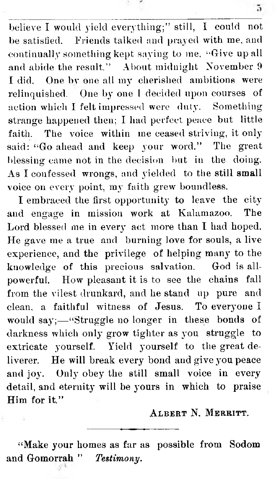believe I would yield everything;" still, I could not be satisfied. Friends talked and prayed with me, and continually something kept saying to me, "Give up all and abide the result." About midnight November 9 I did. One by one all my cherished ambitions were relinquished. One by one I decided upon courses of action which I felt impressed were duty. Something strange happened then; I had perfect peace but little faith. The voice within me ceased striving, it only said: "Go ahead and keep your word." The great blessing came not in the decision but in the doing. As I confessed wrongs, and yielded to the still small voice on every point, my faith grew boundless.

I em braced the first opportunity to leave the city and engage in mission work at Kalamazoo. The Lord blessed me in every act more than I had hoped. He gave me a true and burning love for souls, a live experience, and the privilege of helping many to the knowledge of this precious salvation. God is allpowerful. How pleasant it is to see the chains fall from the vilest drunkard, and he stand up pure and clean, a faithful witness of Jesus. To everyone I would  $say$ ;—"Struggle no longer in these bonds of darkness which only grow tighter as you struggle to extricate yourself. Yield yourself to the great deliverer. He will break every bond and give you peace and joy. Only obey the still small voice in every detail, and eternity will be yours in which to praise Him for it."

A LBERT N. MERRITT.

"Make your homes as far as possible from Sodom and Gomorrah " Testimony.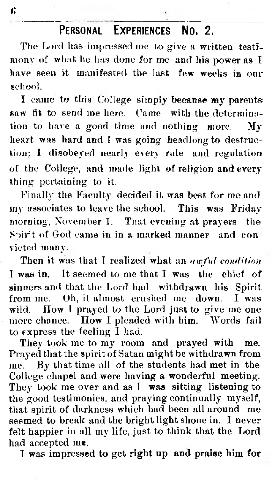#### **Personal Experiences No. 2.**

The Lord has impressed me to give a written testimony of what he has done for me and his power as I have seen it manifested the last few weeks in onr school.

I came to this College simply because my parents saw fit to send me here. Came with the determination to have a good time and nothing more. My heart was hard and I was going headlong to destruction; I disobeyed nearly every rule and regulation of the College, and made light of religion and every thing pertaining to it.

Finally the Faculty decided it was best for me and my associates to leave the school. This was Friday morning, November 1. That evening at prayers the Spirit of God came in in a marked manner and convicted many.

Then it was that I realized what an *awful condition* I was in. It seemed to me that I was the chief of sinners and that the Lord had withdrawn his Spirit from me. Oh, it almost crushed me down. I was wild. How I prayed to the Lord just to give me one more chance. How I pleaded with him. Words fail to express the feeling  $\mathbf{\hat{I}}$  had.

They took me to my room and prayed with me. Prayed that the spirit of Satan might be withdrawn from me. By that time all of the students had met in the College chapel and were having a wonderful meeting. They took me over and as I was sitting listening to the good testimonies, and praying continually myself, that spirit of darkness which had been all around me seem ed to break and the bright light shone in. I never felt happier in all my life, just to think that the Lord had accepted me.

I was im pressed to get right up and praise him for

*r>*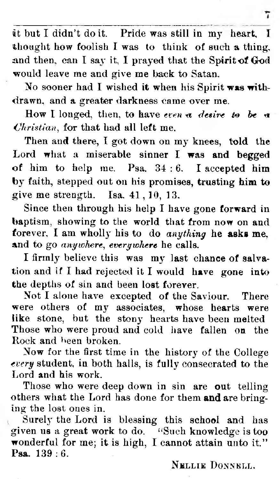it but I didn't do it. Pride was still in my heart, I thought how foolish I was to think of such a thing, and then, can I say it, I prayed that the Spirit of God would leave me and give me back to Satan,

7

No sooner had I wished it when his Spirit was withdrawn, and a greater darkness came over me.

How I longed, then, to have *even* a *desire* to be a *<Jhristiau,* for that had all left me.

Then and there, I got down on my knees, told the Lord what a miserable sinner I was and begged of him to help me. Psa.  $34:6$ . I accepted him by faith, stepped out on his promises, trusting him to give me strength. Isa.  $41, 10, 13$ .

Since then through his help I have gone forward in baptism, showing to the world that from now on and forever, **I** am w hollj' his to do *anything* **he asks me,** and to go *anywhere*, *everywhere* he calls.

I firmly believe this was my last chance of salvation and if I had rejected it I would have gone into the depths of sin and been lost forever.

Not I alone have excepted of the Saviour. There were others of my associates, whose hearts were like stone, but the stony hearts have been melted Those who were proud and cold have fallen on the Rock and been broken.

Now for the first time in the history of the College *every* student, in both halls, is fully consecrated to the Lord and his work.

Those who were deep down in sin are out telling others what the Lord has done for them and are bringing the lost ones in.

Surely the Lord is blessing this school and has given us a great work to do. ""Such knowledge is too wonderful for me; it is high, I cannot attain unto it." Psa. 139 : 6.

NELLIE DONNELL.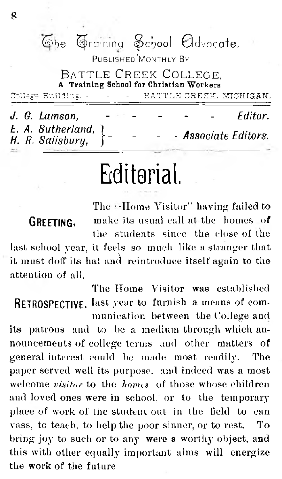(i)be graining ^cf}ool 0dvocate.

PUBLISHED MONTHLY BY

BATTLE CREEK COLLEGE. Training School for Christian Workers College Building . . . . **BATTLE CREEK MICHIGAN** 

|  |  | J. G. Lamson.                                       |  |  |  |  |  | $\sim$ | Fditor.              |  |  |
|--|--|-----------------------------------------------------|--|--|--|--|--|--------|----------------------|--|--|
|  |  | E. A. Sutherland, $\}$ .<br>H. R. Salisbury, $\}$ . |  |  |  |  |  |        | - Associate Editors. |  |  |
|  |  |                                                     |  |  |  |  |  |        |                      |  |  |

### **Editorial.**

The -Home Visitor" having failed to **GREETING.** make its usual call at the homes of the students since the close of the last school year, it feels so much like a stranger that

it must doff its hat and reintroduce itself again to the attention of all.

The Home Visitor was established RETROSPECTIVE. last year to furnish a means of communication between the College and

its patrons and to be a medium through which announcements of college terms and other matters of general interest could be made most readily. The paper served well its purpose, and indeed was a most welcome *visitor* to the *homes* of those whose children and loved ones were in school, or to the temporary place of work of the student out in the field to can vass, to teach, to help the poor sinner, or to rest. To bring joy to such or to any were a worthy object, and this with other equally im portant aims will energize the work of the future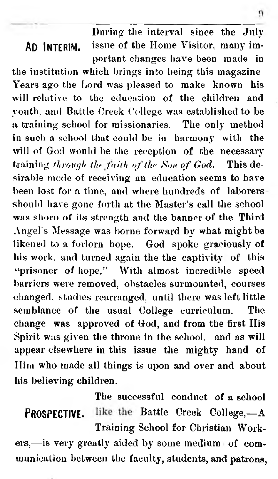**During the interval since the July** AD INTERIM. **issue of the Home Visitor, many important changes have been made in**

**the institution which brings into being this magazine Years ago the Lord was pleased to make known his will relative to the education of the children and youth, and Battle Creek College was established to be a training school for missionaries. The only method in such a school that could be in harmony witli the will of God would be the reception of the necessary training through the faith of the Son of God.** This de**sirable mode of receiving an education seems to have been lost fora time, and where hundreds of laborers should have gone forth at the Master's call the school was shorn of its strength and the banner of the Third Angel's Message was borne forward by what might be likened to a forlorn hope. God spoke graciously of his work, and turned again the the captivity of this " prisoner of hope." With almost incredible speed barriers were removed, obstacles surmounted, courses changed, studies rearranged, until there was left little semblance of the usual College curriculum. The change was approved of God, and from the first His Spirit was given the throne in the school, and as will appear elsewhere in this issue the mighty hand of Him who made all things is upon and over and about his believing children.**

**The successful conduct of a school PROSPECTIVE.** like the Battle Creek College, $-A$ **Training School for Christian Work-**

ers,—is very greatly aided by some medium of com**munication between the faculty, students, and patrons,**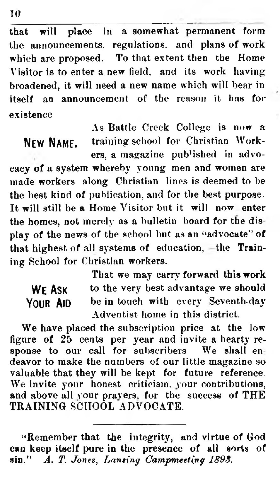**that will place in a somewhat permanent form the announcements, regulations, and plans of work which are proposed. To that extent then the Home Visitor is to enter a new field, and its work having broadened, it will need a new name which will bear in itself an announcement of the reason it has for existence**

**As Battle Creek College is now a** NEW NAME, **training school for Christian Workers, a magazine pub'ished in advo-**

**cacy of a system whereby young men and women are made workers along Christian lines is deemed to be the best kind of publication, and for the best purpose. It will still be a Home Visitor but it will now enter the homes, not merely as a bulletin board for the dis play of the news of the school but as an "advocate" of** that highest of all systems of education,—the Train**ing School for Christian workers.**

| WF Ask   |  |
|----------|--|
| YOUR AID |  |

That we may carry forward this work to the very best advantage we should be in touch with every Seventh-day **Adventist home in this district.**

We have placed the subscription price at the low **figure of 25 cents per year and invite a hearty response to our call for subscribers We shall en deavor to make the numbers of our little magazine so valuable that they will be kept for future reference. We invite your honest criticism, your contributions, and above all vour prayers, for the success of THE T R AIN IN G SCHOOL AD VO CATE.**

**10**

**<sup>&</sup>quot; Remember that the integrity, and virtue of God can keep itself pure in the presence of all sorts of** sin." A. T. Jones, Lansing Campmeeting 1893.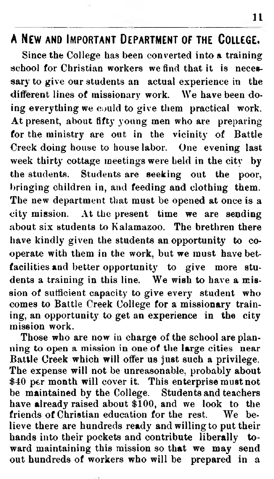#### **A New and Important Department of the College.**

Since the College has been converted into a training school for Christian workers we find that it is necessary to give our students an actual experience in the different lines of missionary work. We have been doing everything we could to give them practical work. At present, about fifty young men who are preparing for the ministry are out in the vicinity of Battle Creek doing house to house labor. One evening last week thirty cottage meetings were held in the city by the students. Students are seeking out the poor, bringing children in, and feeding and clothing them. The new department that must be opened at once is a city mission. At the present time we are sending about six students to Kalamazoo. The brethren there have kindly given the students an opportunity to cooperate with them in the work, but we must have betfacilities and better opportunity to give more students a training in this line. We wish to have a mission of sufficient capacity to give every student who comes to Battle Creek College for a missionary training, an opportunity to get an experience in the city mission work.

Those who are now in charge of the school are planning to open a mission in one of the large cities near Battle Creek which will offer us just such a privilege. The expense will not be unreasonable, probably about \$40 per month will cover it. This enterprise must not be maintained by the College. Students and teachers have already raised about \$100, and we look to the friends of Christian education for the rest. We believe there are hundreds ready and willing to put their hands into their pockets and contribute liberally toward maintaining this mission so that we may send out hundreds of workers who will be prepared in a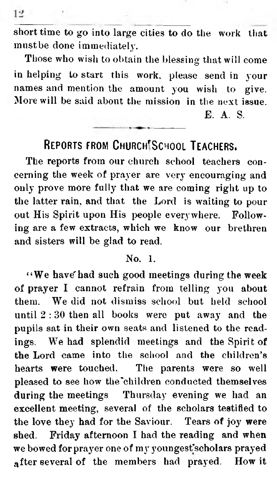**short time to go into large cities to do the work that must be done immediately-.**

**Those who wish to obtain the blessing that will come in helping to start this work, please send in your names and mention the amount you wish to give. More will be said about the mission in the next issue. E. A. S.**

#### REPORTS FROM CHURCH SCHOOL TEACHERS.

**The reports from our church school teachers concerning the week of prayer are very encouraging and only prove more fully that we are coming right up to the latter rain, and that the Lord is waiting to pour out His Spirit upon His people everywhere. Following are a few extracts, which we know our brethren and sisters will be glad to read.**

#### **No. 1.**

**" W e have'had such good meetings during the week of prayer I cannot refrain from telling you about** them. We did not dismiss school but held school until 2:30 then all books were put away and the **pupils sat in their own seats and listened to the readings. We had splendid meetings and the Spirit of the Lord came into the school and the children's hearts were touched. The parents were so well pleased to see how the'children conducted themselves during the meetings Thursday evening we had an excellent meeting, several of the scholars testified to the love they had for the Saviour. Tears of joy were shed. Friday afternoon I had the reading and when we bowed for prayer one of my youngesFscholars prayed after several of the members had prayed. How it**

 $12$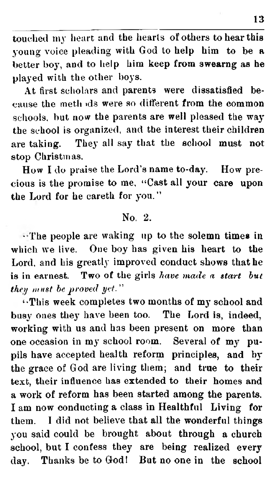**touched my heart and the hearts of others to hear this young voice pleading with God to help him to be a better boy, and to help him keep from swearng as he played with the other boys.**

**At first scholars and parents were dissatisfied because the meth ids were so different from the common schools, but now the parents are well pleased the way the school is organized, and the interest their children are taking. They all say that the school must not stop Christmas.**

**How I do praise the Lord's name to-day. How precious is the promise to me, " Cast all your care upon the Lord for he oaretk for you."**

#### **No. 2.**

**• The people are waking up to the solemn times in which we live. One boy has given bis heart to the Lord, and his greatly improved conduct shows that he is in earnest. Two of the girls** *have made a start hut they must be proved yet.*"

**" This week completes two months of my school and busy ones they have been too. The Lord is, indeed, working with us and has been present on more than one occasion in my school room. Several of my pupils have accepted health reform principles, and by the grace of God are living them; and true to their text, their influence lias extended to their homes and a work of reform has been started among the parents. I am now conducting a class in Healthful Living for them. I did not believe that all the wonderful things you said could be brought about through a church school, but I confess they are being realized every day. Thanks be to Godi But no one in the school**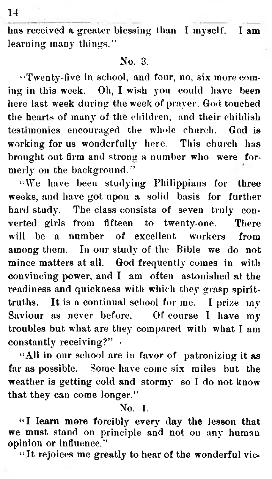**has received a greater blessing than I myself. I am learning many things."**

#### **No. 3.**

**■•Twenty-five in school, and four, no, six more coming in this week. Oh, I wish you could have been here last week during the week of prayer; God touched the hearts of many of the children, and their childish testimonies encouraged the whole church. God is working for us wonderfully here. This church has brought out firm and strong a number who were formerly on the background."**

**'■We have been studying Philippians for three weeks, and have got upon a solid basis for further hard study. The class consists of seven truly converted girls from fifteen to twenty-one. There will be a number of excellent workers from among them. In our study of the Bible we do not mince matters at all. God frequently comes in with convincing power, and I am often astonished at the readiness and quickness with which they grasp spirittruths. It is a continual school for me. I prize my Saviour as never before. Of course I have my troubles but what are they compared with what I am constantly receiving?" •**

**" All in our school are in favor of patronizing it as far as possible. Some have come six miles but the weather is getting cold and stormy so T do not know that they can come longer."**

**No. i.**

**a I learn more forcibly every day the lesson that we must stand on principle and not on an}' human opinion or influence."**

**" It rejoices me greatly to hear of the wonderful vie-**

**14**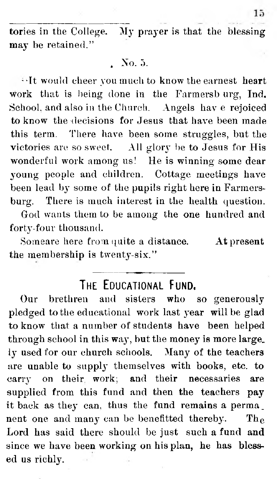tories in the College. My prayer is that the blessing may be retained."

#### , No. 3.

- ' It would cheer you much to know the earnest heart work that is being done in the Farmersb urg, Ind. School, and also in the Church. Angels hav e rejoiced to know the decisions for Jesus that have been made this term. There have been some struggles, but the victories are so sweet. All glory be to Jesus for His wonderful work among us! He is winning some dear young people and children. Cottage meetings have been lead by some of the pupils right here in Farmersburg. There is much interest in the health question.

God wants them to be among the one hundred and forty-four thousand.

Someare here from quite a distance. At present the membership is twenty-six."

#### THE **FDUCATIONAL FUND.**

Our brethren and sisters who so generously pledged to the educational work last year will be glad to know that a number of students have been helped through school in this way, but the money is more large. ly used for our church schools. Many of the teachers are unable to supply them selves with books, etc. to carry on their work; and their necessaries are supplied from this fund and then the teachers pay it back as they can, thus the fund remains a perma \_ nent one and many can be benefitted thereby. The Lord has said there should be just such a fund and since we have been working on his plan, he has blessed us richly.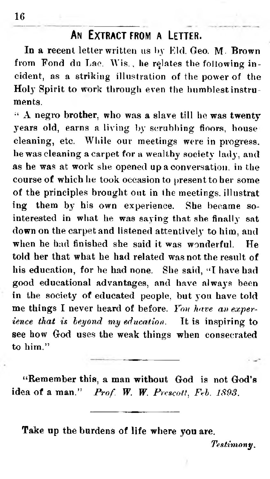#### **An Extract from a Letter.**

**In a recent letter written us by Kid. Geo. M- Brown** from Fond du Lac. Wis., he relates the following in**cident, as a striking illustration of the power of the Holy Spirit to work through even the humblest instruments.**

**" A negro brother, who was a slave till he was twenty** years old, earns a living by scrubbing floors, house **cleaning, etc. While our meetings were in progress, he was cleaning a carpet for a wealthy society lady, and as he was at work she opened up a conversation, in the course of which he took occasion to present to her some of the principles brought out in the meetings, illustrat ing them by his own experience. She became sointerested in what he was saying that she finally sat down on the carpet and listened attentively to him, and when he had finished she said it was wonderful. He told her that what he had related was not the result of** his education, for he had none. She said, "I have had **good educational advantages, and have always been in the society of educated people, but you have told me things I never heard of before.** *You have an experience that is beyond my education.* It is inspiring to **see how God uses the weak things when consecrated to him."**

**"Remember this, a man without God is not God's idea of a man."** *P rof. W. W. Prescott***,** *Feb. 189S.*

**Take up the burdens of life where you are.**

*Testimony***.**